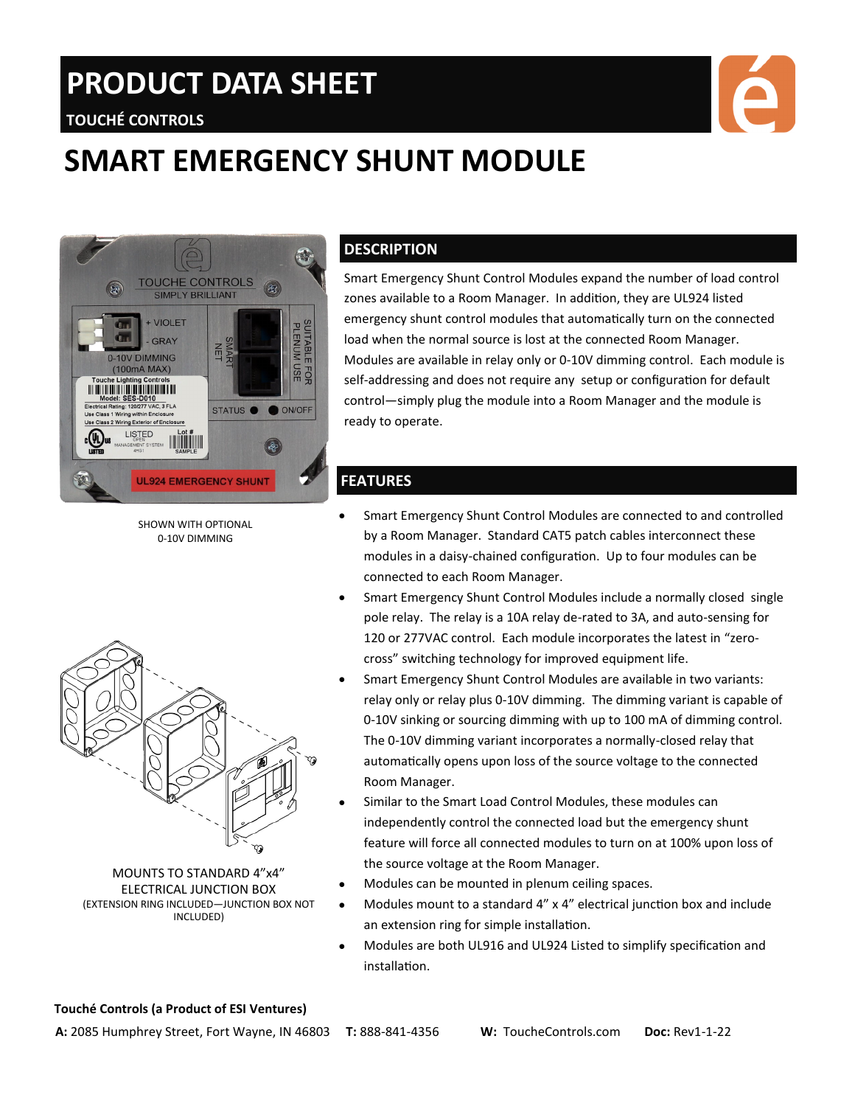# **PRODUCT DATA SHEET**



## **TOUCHÉ CONTROLS**

## **SMART EMERGENCY SHUNT MODULE**



SHOWN WITH OPTIONAL 0-10V DIMMING



MOUNTS TO STANDARD 4"x4" ELECTRICAL JUNCTION BOX (EXTENSION RING INCLUDED—JUNCTION BOX NOT INCLUDED)

#### **DESCRIPTION**

Smart Emergency Shunt Control Modules expand the number of load control zones available to a Room Manager. In addition, they are UL924 listed emergency shunt control modules that automatically turn on the connected load when the normal source is lost at the connected Room Manager. Modules are available in relay only or 0-10V dimming control. Each module is self-addressing and does not require any setup or configuration for default control—simply plug the module into a Room Manager and the module is ready to operate.

#### **FEATURES**

- Smart Emergency Shunt Control Modules are connected to and controlled by a Room Manager. Standard CAT5 patch cables interconnect these modules in a daisy-chained configuration. Up to four modules can be connected to each Room Manager.
- Smart Emergency Shunt Control Modules include a normally closed single pole relay. The relay is a 10A relay de-rated to 3A, and auto-sensing for 120 or 277VAC control. Each module incorporates the latest in "zerocross" switching technology for improved equipment life.
- Smart Emergency Shunt Control Modules are available in two variants: relay only or relay plus 0-10V dimming. The dimming variant is capable of 0-10V sinking or sourcing dimming with up to 100 mA of dimming control. The 0-10V dimming variant incorporates a normally-closed relay that automatically opens upon loss of the source voltage to the connected Room Manager.
- Similar to the Smart Load Control Modules, these modules can independently control the connected load but the emergency shunt feature will force all connected modules to turn on at 100% upon loss of the source voltage at the Room Manager.
- Modules can be mounted in plenum ceiling spaces.
- Modules mount to a standard 4" x 4" electrical junction box and include an extension ring for simple installation.
- Modules are both UL916 and UL924 Listed to simplify specification and installation.

#### **Touché Controls (a Product of ESI Ventures)**